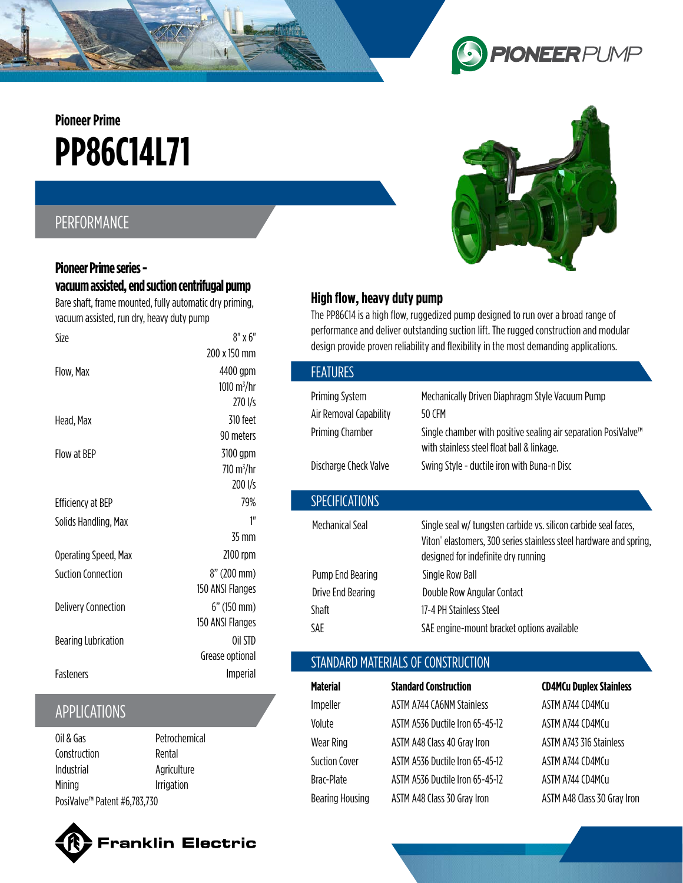# **PP86C14L71 Pioneer Prime**

### PERFORMANCE

#### **Pioneer Prime series vacuum assisted, end suction centrifugal pump**

Bare shaft, frame mounted, fully automatic dry priming, vacuum assisted, run dry, heavy duty pump

| Size                       | $8"$ x $6"$                 |
|----------------------------|-----------------------------|
|                            | 200 x 150 mm                |
| Flow, Max                  | 4400 gpm                    |
|                            | 1010 $\rm m^3/hr$           |
|                            | $270 \frac{1}{s}$           |
| Head, Max                  | 310 feet                    |
|                            | 90 meters                   |
| Flow at BFP                | 3100 gpm                    |
|                            | $710 \text{ m}^3/\text{hr}$ |
|                            | 200 l/s                     |
| <b>Efficiency at BEP</b>   | 79%                         |
| Solids Handling, Max       | 1"                          |
|                            | 35 mm                       |
| Operating Speed, Max       | 2100 rpm                    |
| <b>Suction Connection</b>  | 8" (200 mm)                 |
|                            | 150 ANSI Flanges            |
| <b>Delivery Connection</b> | $6"$ (150 mm)               |
|                            | 150 ANSI Flanges            |
| <b>Bearing Lubrication</b> | Oil STD                     |
|                            | Grease optional             |
| <b>Fasteners</b>           | <b>Imperial</b>             |
|                            |                             |

## APPLICATIONS

| Oil & Gas                    | Petrochemical |  |
|------------------------------|---------------|--|
| Construction                 | Rental        |  |
| Industrial                   | Agriculture   |  |
| Mining                       | Irrigation    |  |
| PosiValve™ Patent #6,783,730 |               |  |





**PIONEERPUMP** 

### **High flow, heavy duty pump**

The PP86C14 is a high flow, ruggedized pump designed to run over a broad range of performance and deliver outstanding suction lift. The rugged construction and modular design provide proven reliability and flexibility in the most demanding applications.

9

| Mechanically Driven Diaphragm Style Vacuum Pump<br>50 CFM                                                                                                                                |
|------------------------------------------------------------------------------------------------------------------------------------------------------------------------------------------|
| Single chamber with positive sealing air separation PosiValve <sup>™</sup><br>with stainless steel float ball & linkage.                                                                 |
| Swing Style - ductile iron with Buna-n Disc                                                                                                                                              |
|                                                                                                                                                                                          |
| Single seal w/ tungsten carbide vs. silicon carbide seal faces,<br>Viton <sup>®</sup> elastomers, 300 series stainless steel hardware and spring,<br>designed for indefinite dry running |
| Single Row Ball                                                                                                                                                                          |
| Double Row Angular Contact                                                                                                                                                               |
| 17-4 PH Stainless Steel                                                                                                                                                                  |
| SAE engine-mount bracket options available                                                                                                                                               |
|                                                                                                                                                                                          |

### STANDARD MATERIALS OF CONSTRUCTION

| <b>Material</b>        | <b>Standard Construction</b>     | <b>CD4MCu Duplex Stainless</b> |
|------------------------|----------------------------------|--------------------------------|
| Impeller               | <b>ASTM A744 CA6NM Stainless</b> | ASTM A744 CD4MCu               |
| Volute                 | ASTM A536 Ductile Iron 65-45-12  | ASTM A744 CD4MCu               |
| Wear Ring              | ASTM A48 Class 40 Gray Iron      | ASTM A743 316 Stainless        |
| <b>Suction Cover</b>   | ASTM A536 Ductile Iron 65-45-12  | ASTM A744 CD4MCu               |
| Brac-Plate             | ASTM A536 Ductile Iron 65-45-12  | ASTM A744 CD4MCu               |
| <b>Bearing Housing</b> | ASTM A48 Class 30 Gray Iron      | ASTM A48 Class 30 Gray Iron    |